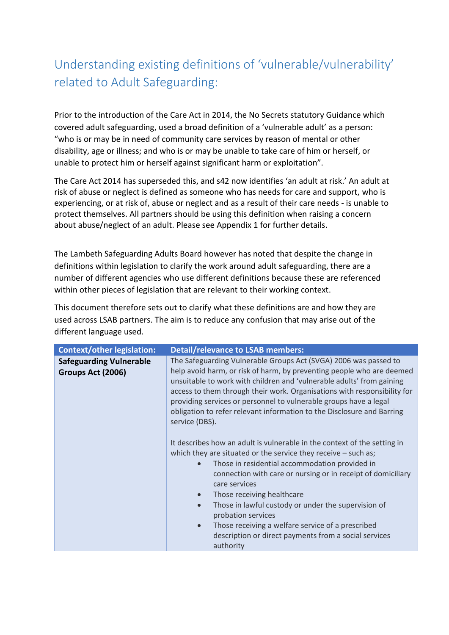# Understanding existing definitions of 'vulnerable/vulnerability' related to Adult Safeguarding:

Prior to the introduction of the Care Act in 2014, the No Secrets statutory Guidance which covered adult safeguarding, used a broad definition of a 'vulnerable adult' as a person: "who is or may be in need of community care services by reason of mental or other disability, age or illness; and who is or may be unable to take care of him or herself, or unable to protect him or herself against significant harm or exploitation".

The Care Act 2014 has superseded this, and s42 now identifies 'an adult at risk.' An adult at risk of abuse or neglect is defined as someone who has needs for care and support, who is experiencing, or at risk of, abuse or neglect and as a result of their care needs - is unable to protect themselves. All partners should be using this definition when raising a concern about abuse/neglect of an adult. Please see Appendix 1 for further details.

The Lambeth Safeguarding Adults Board however has noted that despite the change in definitions within legislation to clarify the work around adult safeguarding, there are a number of different agencies who use different definitions because these are referenced within other pieces of legislation that are relevant to their working context.

This document therefore sets out to clarify what these definitions are and how they are used across LSAB partners. The aim is to reduce any confusion that may arise out of the different language used.

| <b>Context/other legislation:</b>                   | <b>Detail/relevance to LSAB members:</b>                                                                                                                                                                                                                                                                                                                                                                                                                                                                                                                     |
|-----------------------------------------------------|--------------------------------------------------------------------------------------------------------------------------------------------------------------------------------------------------------------------------------------------------------------------------------------------------------------------------------------------------------------------------------------------------------------------------------------------------------------------------------------------------------------------------------------------------------------|
| <b>Safeguarding Vulnerable</b><br>Groups Act (2006) | The Safeguarding Vulnerable Groups Act (SVGA) 2006 was passed to<br>help avoid harm, or risk of harm, by preventing people who are deemed<br>unsuitable to work with children and 'vulnerable adults' from gaining<br>access to them through their work. Organisations with responsibility for<br>providing services or personnel to vulnerable groups have a legal<br>obligation to refer relevant information to the Disclosure and Barring<br>service (DBS).                                                                                              |
|                                                     | It describes how an adult is vulnerable in the context of the setting in<br>which they are situated or the service they receive $-$ such as;<br>Those in residential accommodation provided in<br>$\bullet$<br>connection with care or nursing or in receipt of domiciliary<br>care services<br>Those receiving healthcare<br>$\bullet$<br>Those in lawful custody or under the supervision of<br>probation services<br>Those receiving a welfare service of a prescribed<br>$\bullet$<br>description or direct payments from a social services<br>authority |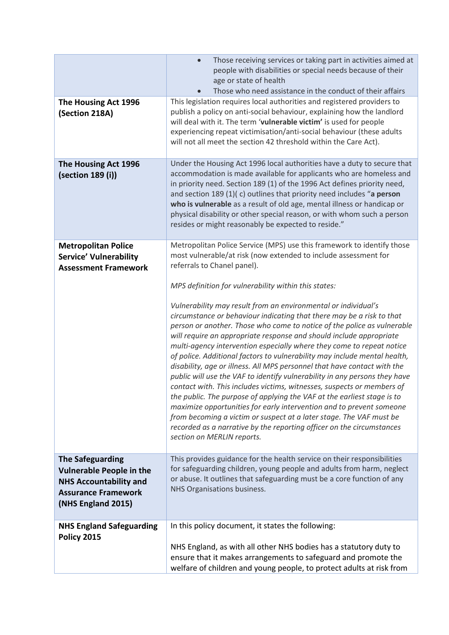|                                                                                                                                                 | Those receiving services or taking part in activities aimed at<br>$\bullet$<br>people with disabilities or special needs because of their<br>age or state of health<br>Those who need assistance in the conduct of their affairs                                                                                                                                                                                                                                                                                                                                                                                                                                                                                                                                                                                                                                                                                                                                                                                                                                                                                                                                                                                                                         |
|-------------------------------------------------------------------------------------------------------------------------------------------------|----------------------------------------------------------------------------------------------------------------------------------------------------------------------------------------------------------------------------------------------------------------------------------------------------------------------------------------------------------------------------------------------------------------------------------------------------------------------------------------------------------------------------------------------------------------------------------------------------------------------------------------------------------------------------------------------------------------------------------------------------------------------------------------------------------------------------------------------------------------------------------------------------------------------------------------------------------------------------------------------------------------------------------------------------------------------------------------------------------------------------------------------------------------------------------------------------------------------------------------------------------|
| The Housing Act 1996<br>(Section 218A)                                                                                                          | This legislation requires local authorities and registered providers to<br>publish a policy on anti-social behaviour, explaining how the landlord<br>will deal with it. The term 'vulnerable victim' is used for people<br>experiencing repeat victimisation/anti-social behaviour (these adults<br>will not all meet the section 42 threshold within the Care Act).                                                                                                                                                                                                                                                                                                                                                                                                                                                                                                                                                                                                                                                                                                                                                                                                                                                                                     |
| The Housing Act 1996<br>(section 189 (i))                                                                                                       | Under the Housing Act 1996 local authorities have a duty to secure that<br>accommodation is made available for applicants who are homeless and<br>in priority need. Section 189 (1) of the 1996 Act defines priority need,<br>and section 189 (1)(c) outlines that priority need includes "a person<br>who is vulnerable as a result of old age, mental illness or handicap or<br>physical disability or other special reason, or with whom such a person<br>resides or might reasonably be expected to reside."                                                                                                                                                                                                                                                                                                                                                                                                                                                                                                                                                                                                                                                                                                                                         |
| <b>Metropolitan Police</b><br><b>Service' Vulnerability</b><br><b>Assessment Framework</b>                                                      | Metropolitan Police Service (MPS) use this framework to identify those<br>most vulnerable/at risk (now extended to include assessment for<br>referrals to Chanel panel).<br>MPS definition for vulnerability within this states:<br>Vulnerability may result from an environmental or individual's<br>circumstance or behaviour indicating that there may be a risk to that<br>person or another. Those who come to notice of the police as vulnerable<br>will require an appropriate response and should include appropriate<br>multi-agency intervention especially where they come to repeat notice<br>of police. Additional factors to vulnerability may include mental health,<br>disability, age or illness. All MPS personnel that have contact with the<br>public will use the VAF to identify vulnerability in any persons they have<br>contact with. This includes victims, witnesses, suspects or members of<br>the public. The purpose of applying the VAF at the earliest stage is to<br>maximize opportunities for early intervention and to prevent someone<br>from becoming a victim or suspect at a later stage. The VAF must be<br>recorded as a narrative by the reporting officer on the circumstances<br>section on MERLIN reports. |
| <b>The Safeguarding</b><br><b>Vulnerable People in the</b><br><b>NHS Accountability and</b><br><b>Assurance Framework</b><br>(NHS England 2015) | This provides guidance for the health service on their responsibilities<br>for safeguarding children, young people and adults from harm, neglect<br>or abuse. It outlines that safeguarding must be a core function of any<br>NHS Organisations business.                                                                                                                                                                                                                                                                                                                                                                                                                                                                                                                                                                                                                                                                                                                                                                                                                                                                                                                                                                                                |
| <b>NHS England Safeguarding</b><br><b>Policy 2015</b>                                                                                           | In this policy document, it states the following:<br>NHS England, as with all other NHS bodies has a statutory duty to<br>ensure that it makes arrangements to safeguard and promote the<br>welfare of children and young people, to protect adults at risk from                                                                                                                                                                                                                                                                                                                                                                                                                                                                                                                                                                                                                                                                                                                                                                                                                                                                                                                                                                                         |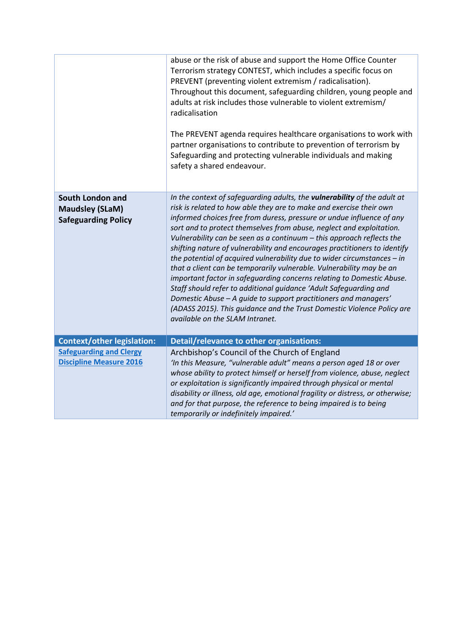|                                                                          | abuse or the risk of abuse and support the Home Office Counter<br>Terrorism strategy CONTEST, which includes a specific focus on<br>PREVENT (preventing violent extremism / radicalisation).<br>Throughout this document, safeguarding children, young people and<br>adults at risk includes those vulnerable to violent extremism/<br>radicalisation<br>The PREVENT agenda requires healthcare organisations to work with<br>partner organisations to contribute to prevention of terrorism by<br>Safeguarding and protecting vulnerable individuals and making<br>safety a shared endeavour.                                                                                                                                                                                                                                                                                                                                            |
|--------------------------------------------------------------------------|-------------------------------------------------------------------------------------------------------------------------------------------------------------------------------------------------------------------------------------------------------------------------------------------------------------------------------------------------------------------------------------------------------------------------------------------------------------------------------------------------------------------------------------------------------------------------------------------------------------------------------------------------------------------------------------------------------------------------------------------------------------------------------------------------------------------------------------------------------------------------------------------------------------------------------------------|
| South London and<br><b>Maudsley (SLaM)</b><br><b>Safeguarding Policy</b> | In the context of safeguarding adults, the vulnerability of the adult at<br>risk is related to how able they are to make and exercise their own<br>informed choices free from duress, pressure or undue influence of any<br>sort and to protect themselves from abuse, neglect and exploitation.<br>Vulnerability can be seen as a continuum - this approach reflects the<br>shifting nature of vulnerability and encourages practitioners to identify<br>the potential of acquired vulnerability due to wider circumstances $-$ in<br>that a client can be temporarily vulnerable. Vulnerability may be an<br>important factor in safeguarding concerns relating to Domestic Abuse.<br>Staff should refer to additional guidance 'Adult Safeguarding and<br>Domestic Abuse - A guide to support practitioners and managers'<br>(ADASS 2015). This guidance and the Trust Domestic Violence Policy are<br>available on the SLAM Intranet. |
| <b>Context/other legislation:</b>                                        | Detail/relevance to other organisations:                                                                                                                                                                                                                                                                                                                                                                                                                                                                                                                                                                                                                                                                                                                                                                                                                                                                                                  |
| <b>Safeguarding and Clergy</b><br><b>Discipline Measure 2016</b>         | Archbishop's Council of the Church of England<br>'In this Measure, "vulnerable adult" means a person aged 18 or over<br>whose ability to protect himself or herself from violence, abuse, neglect<br>or exploitation is significantly impaired through physical or mental<br>disability or illness, old age, emotional fragility or distress, or otherwise;<br>and for that purpose, the reference to being impaired is to being<br>temporarily or indefinitely impaired.'                                                                                                                                                                                                                                                                                                                                                                                                                                                                |